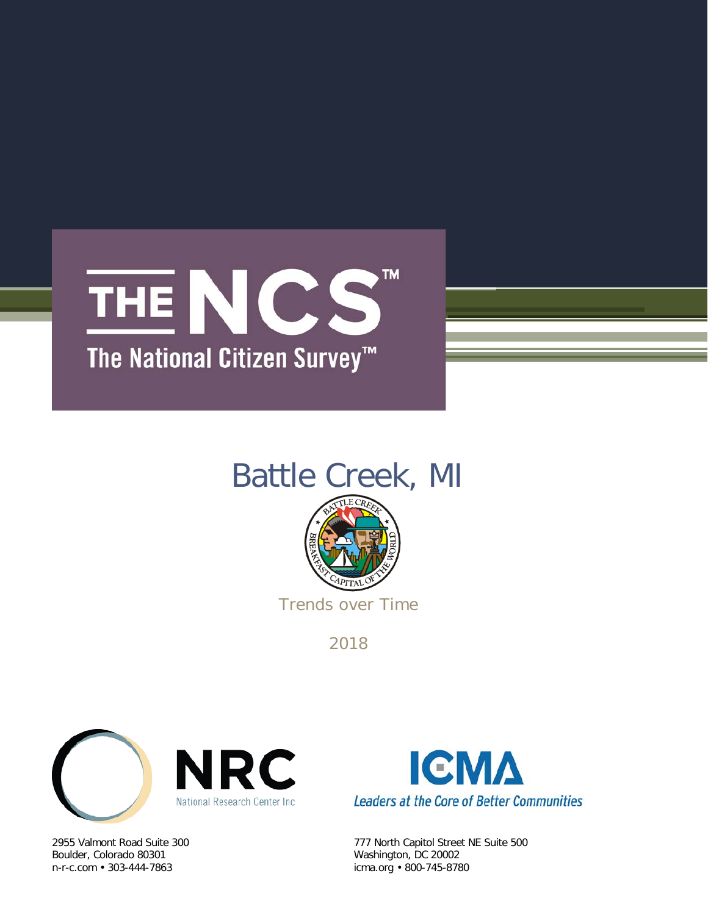

## Battle Creek, MI



Trends over Time

2018



Boulder, Colorado 80301 Washington, DC 20002



2955 Valmont Road Suite 300 777 North Capitol Street NE Suite 500 icma.org • 800-745-8780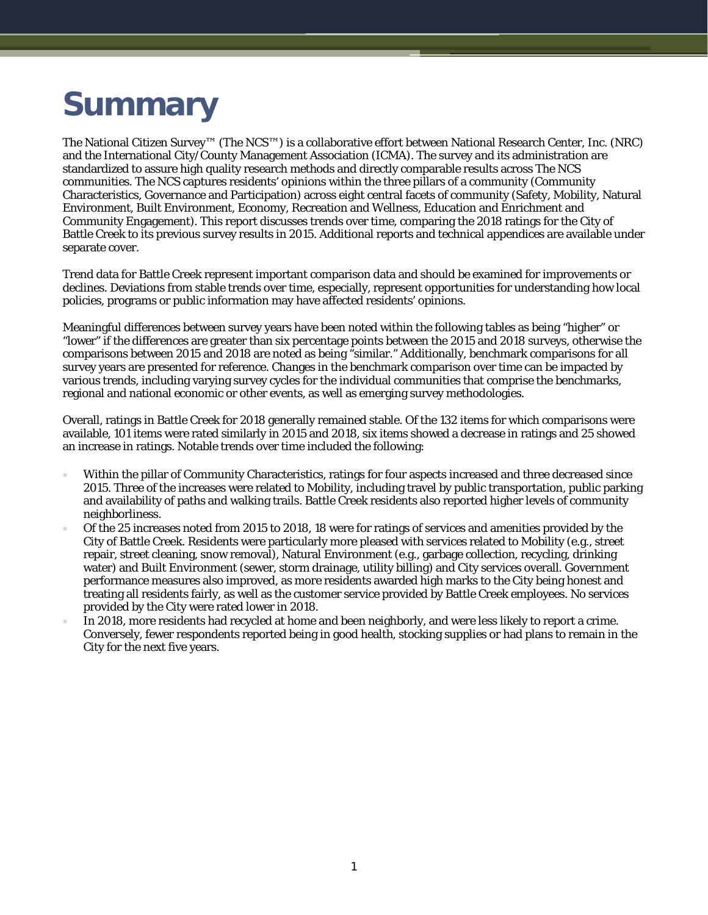# **Summary**

The National Citizen Survey™ (The NCS™) is a collaborative effort between National Research Center, Inc. (NRC) and the International City/County Management Association (ICMA). The survey and its administration are standardized to assure high quality research methods and directly comparable results across The NCS communities. The NCS captures residents' opinions within the three pillars of a community (Community Characteristics, Governance and Participation) across eight central facets of community (Safety, Mobility, Natural Environment, Built Environment, Economy, Recreation and Wellness, Education and Enrichment and Community Engagement). This report discusses trends over time, comparing the 2018 ratings for the City of Battle Creek to its previous survey results in 2015. Additional reports and technical appendices are available under separate cover.

Trend data for Battle Creek represent important comparison data and should be examined for improvements or declines. Deviations from stable trends over time, especially, represent opportunities for understanding how local policies, programs or public information may have affected residents' opinions.

Meaningful differences between survey years have been noted within the following tables as being "higher" or "lower" if the differences are greater than six percentage points between the 2015 and 2018 surveys, otherwise the comparisons between 2015 and 2018 are noted as being "similar." Additionally, benchmark comparisons for all survey years are presented for reference. Changes in the benchmark comparison over time can be impacted by various trends, including varying survey cycles for the individual communities that comprise the benchmarks, regional and national economic or other events, as well as emerging survey methodologies.

Overall, ratings in Battle Creek for 2018 generally remained stable. Of the 132 items for which comparisons were available, 101 items were rated similarly in 2015 and 2018, six items showed a decrease in ratings and 25 showed an increase in ratings. Notable trends over time included the following:

- Within the pillar of Community Characteristics, ratings for four aspects increased and three decreased since 2015. Three of the increases were related to Mobility, including travel by public transportation, public parking and availability of paths and walking trails. Battle Creek residents also reported higher levels of community neighborliness.
- Of the 25 increases noted from 2015 to 2018, 18 were for ratings of services and amenities provided by the City of Battle Creek. Residents were particularly more pleased with services related to Mobility (e.g., street repair, street cleaning, snow removal), Natural Environment (e.g., garbage collection, recycling, drinking water) and Built Environment (sewer, storm drainage, utility billing) and City services overall. Government performance measures also improved, as more residents awarded high marks to the City being honest and treating all residents fairly, as well as the customer service provided by Battle Creek employees. No services provided by the City were rated lower in 2018.
- In 2018, more residents had recycled at home and been neighborly, and were less likely to report a crime. Conversely, fewer respondents reported being in good health, stocking supplies or had plans to remain in the City for the next five years.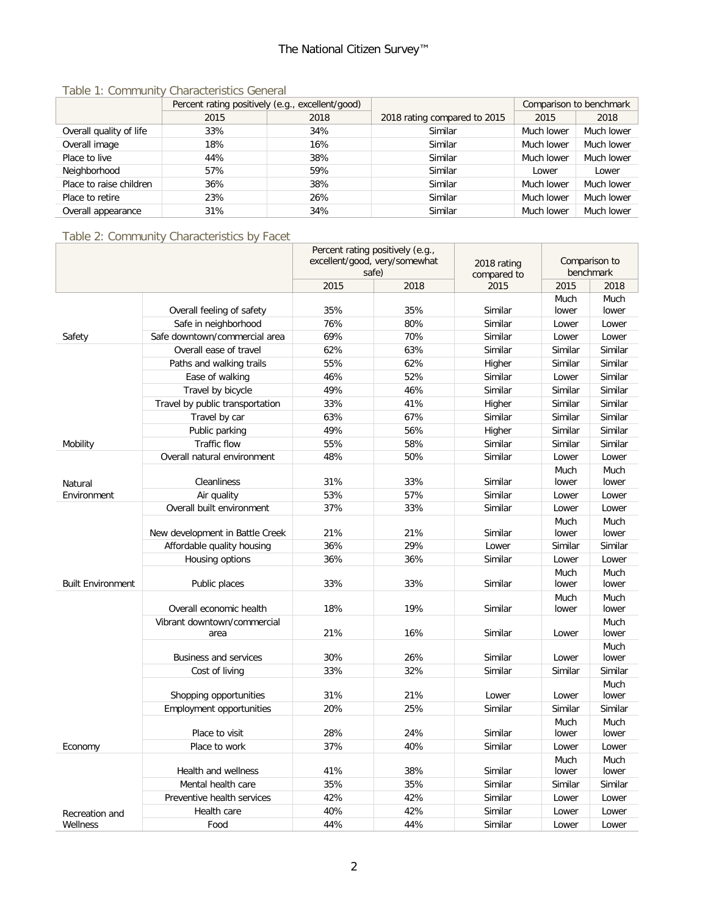|                         | Percent rating positively (e.g., excellent/good) |      |                              | Comparison to benchmark |            |
|-------------------------|--------------------------------------------------|------|------------------------------|-------------------------|------------|
|                         | 2015                                             | 2018 | 2018 rating compared to 2015 | 2015                    | 2018       |
| Overall quality of life | 33%                                              | 34%  | Similar                      | Much lower              | Much lower |
| Overall image           | 18%                                              | 16%  | Similar                      | Much lower              | Much lower |
| Place to live           | 44%                                              | 38%  | Similar                      | Much lower              | Much lower |
| Neighborhood            | 57%                                              | 59%  | Similar                      | Lower                   | Lower      |
| Place to raise children | 36%                                              | 38%  | Similar                      | Much lower              | Much lower |
| Place to retire         | 23%                                              | 26%  | Similar                      | Much lower              | Much lower |
| Overall appearance      | 31%                                              | 34%  | Similar                      | Much lower              | Much lower |

#### Table 1: Community Characteristics General

## Table 2: Community Characteristics by Facet

|                          |                                 | Percent rating positively (e.g., |                               |                     |               |                   |
|--------------------------|---------------------------------|----------------------------------|-------------------------------|---------------------|---------------|-------------------|
|                          |                                 |                                  | excellent/good, very/somewhat | 2018 rating         |               | Comparison to     |
|                          |                                 | 2015                             | safe)<br>2018                 | compared to<br>2015 | 2015          | benchmark<br>2018 |
|                          |                                 |                                  |                               |                     | Much          | Much              |
|                          | Overall feeling of safety       | 35%                              | 35%                           | Similar             | lower         | lower             |
|                          | Safe in neighborhood            | 76%                              | 80%                           | Similar             | Lower         | Lower             |
| Safety                   | Safe downtown/commercial area   | 69%                              | 70%                           | Similar             | Lower         | Lower             |
|                          | Overall ease of travel          | 62%                              | 63%                           | Similar             | Similar       | Similar           |
|                          | Paths and walking trails        | 55%                              | 62%                           | Higher              | Similar       | Similar           |
|                          | Ease of walking                 | 46%                              | 52%                           | Similar             | Lower         | Similar           |
|                          | Travel by bicycle               | 49%                              | 46%                           | Similar             | Similar       | Similar           |
|                          | Travel by public transportation | 33%                              | 41%                           | Higher              | Similar       | Similar           |
|                          |                                 | 63%                              | 67%                           | Similar             | Similar       | Similar           |
|                          | Travel by car                   |                                  |                               |                     |               | Similar           |
|                          | Public parking                  | 49%                              | 56%                           | Higher              | Similar       |                   |
| Mobility                 | Traffic flow                    | 55%                              | 58%                           | Similar             | Similar       | Similar           |
|                          | Overall natural environment     | 48%                              | 50%                           | Similar             | Lower         | Lower             |
|                          |                                 |                                  |                               |                     | Much          | Much              |
| Natural                  | Cleanliness                     | 31%                              | 33%                           | Similar             | lower         | lower             |
| Environment              | Air quality                     | 53%                              | 57%                           | Similar             | Lower         | Lower             |
|                          | Overall built environment       | 37%                              | 33%                           | Similar             | Lower         | Lower             |
|                          |                                 |                                  |                               |                     | Much          | Much              |
|                          | New development in Battle Creek | 21%                              | 21%                           | Similar             | lower         | lower             |
|                          | Affordable quality housing      | 36%                              | 29%                           | Lower               | Similar       | Similar           |
|                          | Housing options                 | 36%                              | 36%                           | Similar             | Lower         | Lower             |
|                          |                                 |                                  |                               |                     | Much          | Much              |
| <b>Built Environment</b> | Public places                   | 33%                              | 33%                           | Similar             | lower         | lower             |
|                          | Overall economic health         | 18%                              | 19%                           | Similar             | Much<br>lower | Much<br>lower     |
|                          | Vibrant downtown/commercial     |                                  |                               |                     |               | Much              |
|                          | area                            | 21%                              | 16%                           | Similar             | Lower         | lower             |
|                          |                                 |                                  |                               |                     |               | Much              |
|                          | <b>Business and services</b>    | 30%                              | 26%                           | Similar             | Lower         | lower             |
|                          | Cost of living                  | 33%                              | 32%                           | Similar             | Similar       | Similar           |
|                          |                                 |                                  |                               |                     |               | Much              |
|                          | Shopping opportunities          | 31%                              | 21%                           | Lower               | Lower         | lower             |
|                          | Employment opportunities        | 20%                              | 25%                           | Similar             | Similar       | Similar           |
|                          |                                 |                                  |                               |                     | Much          | Much              |
|                          | Place to visit                  | 28%                              | 24%                           | Similar             | lower         | lower             |
| Economy                  | Place to work                   | 37%                              | 40%                           | Similar             | Lower         | Lower             |
|                          |                                 |                                  |                               |                     | Much          | Much              |
|                          | Health and wellness             | 41%                              | 38%                           | Similar             | lower         | lower             |
|                          | Mental health care              | 35%                              | 35%                           | Similar             | Similar       | Similar           |
|                          | Preventive health services      | 42%                              | 42%                           | Similar             | Lower         | Lower             |
| Recreation and           | Health care                     | 40%                              | 42%                           | Similar             | Lower         | Lower             |
| Wellness                 | Food                            | 44%                              | 44%                           | Similar             | Lower         | Lower             |
|                          |                                 |                                  |                               |                     |               |                   |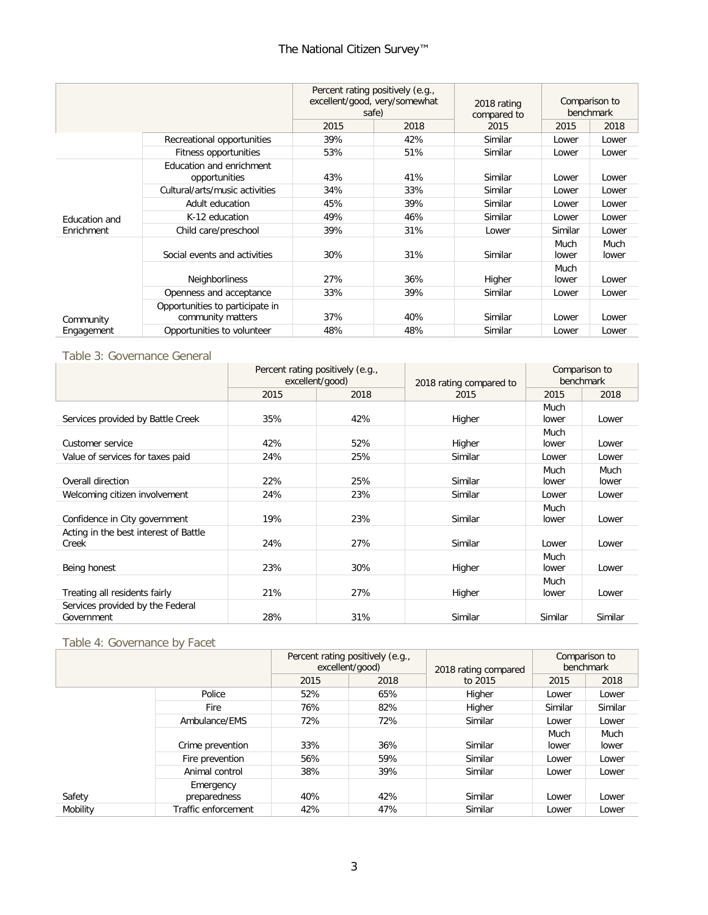## The National Citizen Survey™

|               |                                                      |      | Percent rating positively (e.g.,<br>excellent/good, very/somewhat<br>safe) |         | Comparison to<br>benchmark |               |
|---------------|------------------------------------------------------|------|----------------------------------------------------------------------------|---------|----------------------------|---------------|
|               |                                                      | 2015 | 2018                                                                       | 2015    | 2015                       | 2018          |
|               | Recreational opportunities                           | 39%  | 42%                                                                        | Similar | Lower                      | Lower         |
|               | Fitness opportunities                                | 53%  | 51%                                                                        | Similar | Lower                      | Lower         |
|               | Education and enrichment<br>opportunities            | 43%  | 41%                                                                        | Similar | Lower                      | Lower         |
|               | Cultural/arts/music activities                       | 34%  | 33%                                                                        | Similar | Lower                      | Lower         |
|               | Adult education                                      | 45%  | 39%                                                                        | Similar | Lower                      | Lower         |
| Education and | K-12 education                                       | 49%  | 46%                                                                        | Similar | Lower                      | Lower         |
| Enrichment    | Child care/preschool                                 | 39%  | 31%                                                                        | Lower   | Similar                    | Lower         |
|               | Social events and activities                         | 30%  | 31%                                                                        | Similar | Much<br>lower              | Much<br>lower |
| Community     | Neighborliness                                       | 27%  | 36%                                                                        | Higher  | Much<br>lower              | Lower         |
|               | Openness and acceptance                              | 33%  | 39%                                                                        | Similar | Lower                      | Lower         |
|               | Opportunities to participate in<br>community matters | 37%  | 40%                                                                        | Similar | Lower                      | Lower         |
| Engagement    | Opportunities to volunteer                           | 48%  | 48%                                                                        | Similar | Lower                      | Lower         |

#### Table 3: Governance General

|                                                | Percent rating positively (e.g.,<br>excellent/good) |      | 2018 rating compared to | Comparison to<br>benchmark |               |
|------------------------------------------------|-----------------------------------------------------|------|-------------------------|----------------------------|---------------|
|                                                | 2015                                                | 2018 | 2015                    | 2015                       | 2018          |
| Services provided by Battle Creek              | 35%                                                 | 42%  | Higher                  | Much<br>lower              | Lower         |
| Customer service                               | 42%                                                 | 52%  | Higher                  | Much<br>lower              | Lower         |
| Value of services for taxes paid               | 24%                                                 | 25%  | Similar                 | Lower                      | Lower         |
| Overall direction                              | 22%                                                 | 25%  | Similar                 | Much<br>lower              | Much<br>lower |
| Welcoming citizen involvement                  | 24%                                                 | 23%  | Similar                 | Lower                      | Lower         |
| Confidence in City government                  | 19%                                                 | 23%  | Similar                 | Much<br>lower              | Lower         |
| Acting in the best interest of Battle<br>Creek | 24%                                                 | 27%  | Similar                 | Lower                      | Lower         |
| Being honest                                   | 23%                                                 | 30%  | Higher                  | Much<br>lower              | Lower         |
| Treating all residents fairly                  | 21%                                                 | 27%  | Higher                  | Much<br>lower              | Lower         |
| Services provided by the Federal<br>Government | 28%                                                 | 31%  | Similar                 | Similar                    | Similar       |

### Table 4: Governance by Facet

|          |                     |      | Percent rating positively (e.g.,<br>excellent/good) | 2018 rating compared | Comparison to<br>benchmark |         |
|----------|---------------------|------|-----------------------------------------------------|----------------------|----------------------------|---------|
|          |                     | 2015 | 2018                                                | to 2015              | 2015                       | 2018    |
|          | Police              | 52%  | 65%                                                 | Higher               | Lower                      | Lower   |
|          | Fire                | 76%  | 82%                                                 | Higher               | Similar                    | Similar |
|          | Ambulance/EMS       | 72%  | 72%                                                 | Similar              | Lower                      | Lower   |
|          |                     |      |                                                     |                      | Much                       | Much    |
|          | Crime prevention    | 33%  | 36%                                                 | Similar              | lower                      | lower   |
|          | Fire prevention     | 56%  | 59%                                                 | Similar              | Lower                      | Lower   |
|          | Animal control      | 38%  | 39%                                                 | Similar              | Lower                      | Lower   |
|          | Emergency           |      |                                                     |                      |                            |         |
| Safety   | preparedness        | 40%  | 42%                                                 | Similar              | Lower                      | Lower   |
| Mobility | Traffic enforcement | 42%  | 47%                                                 | Similar              | Lower                      | Lower   |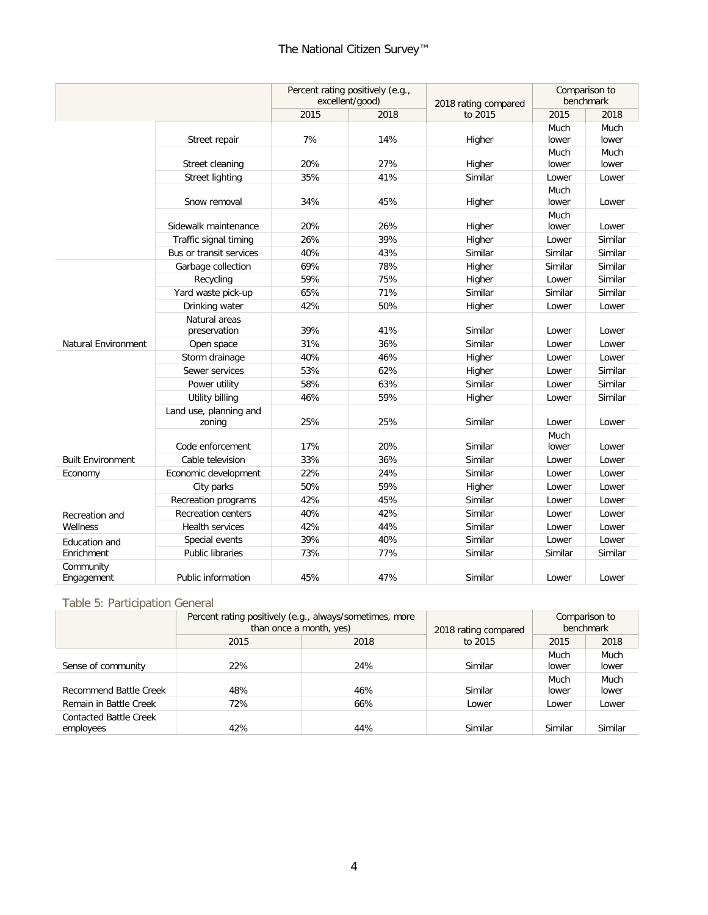## The National Citizen Survey™

|                          |                                  | Percent rating positively (e.g.,<br>excellent/good) |      | 2018 rating compared | Comparison to<br>benchmark |               |
|--------------------------|----------------------------------|-----------------------------------------------------|------|----------------------|----------------------------|---------------|
|                          |                                  | 2015                                                | 2018 | to 2015              | 2015                       | 2018          |
|                          | Street repair                    | 7%                                                  | 14%  | Higher               | Much<br>lower              | Much<br>lower |
|                          | Street cleaning                  | 20%                                                 | 27%  | Higher               | Much<br>lower              | Much<br>lower |
|                          | <b>Street lighting</b>           | 35%                                                 | 41%  | Similar              | Lower                      | Lower         |
|                          | Snow removal                     | 34%                                                 | 45%  | Higher               | Much<br>lower              | Lower         |
|                          | Sidewalk maintenance             | 20%                                                 | 26%  | Higher               | Much<br>lower              | Lower         |
|                          | Traffic signal timing            | 26%                                                 | 39%  | Higher               | Lower                      | Similar       |
|                          | Bus or transit services          | 40%                                                 | 43%  | Similar              | Similar                    | Similar       |
|                          | Garbage collection               | 69%                                                 | 78%  | Higher               | Similar                    | Similar       |
|                          | Recycling                        | 59%                                                 | 75%  | Higher               | Lower                      | Similar       |
|                          | Yard waste pick-up               | 65%                                                 | 71%  | Similar              | Similar                    | Similar       |
|                          | Drinking water                   | 42%                                                 | 50%  | Higher               | Lower                      | Lower         |
|                          | Natural areas<br>preservation    | 39%                                                 | 41%  | Similar              | Lower                      | Lower         |
| Natural Environment      | Open space                       | 31%                                                 | 36%  | Similar              | Lower                      | Lower         |
|                          | Storm drainage                   | 40%                                                 | 46%  | Higher               | Lower                      | Lower         |
|                          | Sewer services                   | 53%                                                 | 62%  | Higher               | Lower                      | Similar       |
|                          | Power utility                    | 58%                                                 | 63%  | Similar              | Lower                      | Similar       |
|                          | Utility billing                  | 46%                                                 | 59%  | Higher               | Lower                      | Similar       |
|                          | Land use, planning and<br>zoning | 25%                                                 | 25%  | Similar              | Lower                      | Lower         |
|                          | Code enforcement                 | 17%                                                 | 20%  | Similar              | Much<br>lower              | Lower         |
| <b>Built Environment</b> | Cable television                 | 33%                                                 | 36%  | Similar              | Lower                      | Lower         |
| Economy                  | Economic development             | 22%                                                 | 24%  | Similar              | Lower                      | Lower         |
|                          | City parks                       | 50%                                                 | 59%  | Higher               | Lower                      | Lower         |
|                          | Recreation programs              | 42%                                                 | 45%  | Similar              | Lower                      | Lower         |
| Recreation and           | <b>Recreation centers</b>        | 40%                                                 | 42%  | Similar              | Lower                      | Lower         |
| Wellness                 | Health services                  | 42%                                                 | 44%  | Similar              | Lower                      | Lower         |
| Education and            | Special events                   | 39%                                                 | 40%  | Similar              | Lower                      | Lower         |
| Enrichment               | <b>Public libraries</b>          | 73%                                                 | 77%  | Similar              | Similar                    | Similar       |
| Community<br>Engagement  | Public information               | 45%                                                 | 47%  | Similar              | Lower                      | Lower         |

#### Table 5: Participation General

|                                            | Percent rating positively (e.g., always/sometimes, more<br>than once a month, yes) | 2018 rating compared | Comparison to<br>benchmark |         |         |
|--------------------------------------------|------------------------------------------------------------------------------------|----------------------|----------------------------|---------|---------|
|                                            | 2015                                                                               | 2018                 | to 2015                    | 2015    | 2018    |
|                                            |                                                                                    |                      |                            | Much    | Much    |
| Sense of community                         | 22%                                                                                | 24%                  | Similar                    | lower   | lower   |
|                                            |                                                                                    |                      |                            | Much    | Much    |
| Recommend Battle Creek                     | 48%                                                                                | 46%                  | Similar                    | lower   | lower   |
| Remain in Battle Creek                     | 72%                                                                                | 66%                  | Lower                      | Lower   | Lower   |
| <b>Contacted Battle Creek</b><br>employees | 42%                                                                                | 44%                  | Similar                    | Similar | Similar |